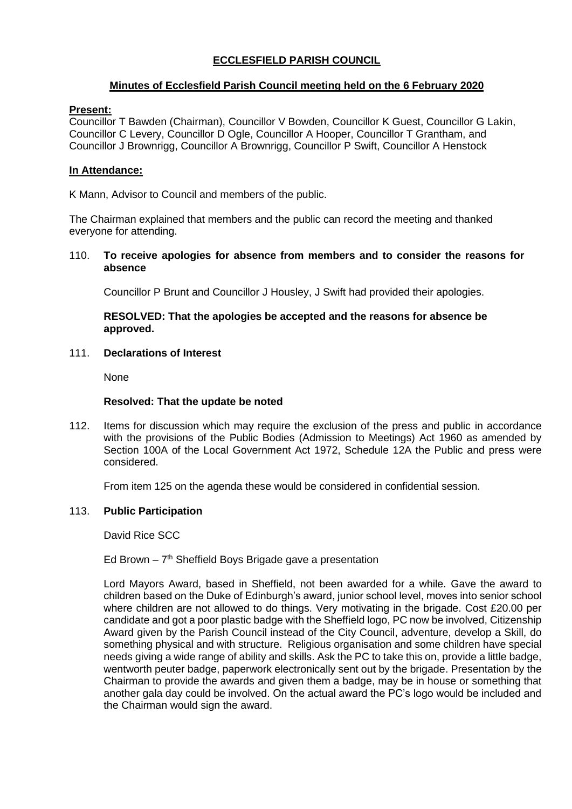# **ECCLESFIELD PARISH COUNCIL**

# **Minutes of Ecclesfield Parish Council meeting held on the 6 February 2020**

# **Present:**

Councillor T Bawden (Chairman), Councillor V Bowden, Councillor K Guest, Councillor G Lakin, Councillor C Levery, Councillor D Ogle, Councillor A Hooper, Councillor T Grantham, and Councillor J Brownrigg, Councillor A Brownrigg, Councillor P Swift, Councillor A Henstock

# **In Attendance:**

K Mann, Advisor to Council and members of the public.

The Chairman explained that members and the public can record the meeting and thanked everyone for attending.

110. **To receive apologies for absence from members and to consider the reasons for absence**

Councillor P Brunt and Councillor J Housley, J Swift had provided their apologies.

# **RESOLVED: That the apologies be accepted and the reasons for absence be approved.**

### 111. **Declarations of Interest**

None

### **Resolved: That the update be noted**

112. Items for discussion which may require the exclusion of the press and public in accordance with the provisions of the Public Bodies (Admission to Meetings) Act 1960 as amended by Section 100A of the Local Government Act 1972, Schedule 12A the Public and press were considered.

From item 125 on the agenda these would be considered in confidential session.

# 113. **Public Participation**

David Rice SCC

# Ed Brown  $-7<sup>th</sup>$  Sheffield Boys Brigade gave a presentation

Lord Mayors Award, based in Sheffield, not been awarded for a while. Gave the award to children based on the Duke of Edinburgh's award, junior school level, moves into senior school where children are not allowed to do things. Very motivating in the brigade. Cost £20.00 per candidate and got a poor plastic badge with the Sheffield logo, PC now be involved, Citizenship Award given by the Parish Council instead of the City Council, adventure, develop a Skill, do something physical and with structure. Religious organisation and some children have special needs giving a wide range of ability and skills. Ask the PC to take this on, provide a little badge, wentworth peuter badge, paperwork electronically sent out by the brigade. Presentation by the Chairman to provide the awards and given them a badge, may be in house or something that another gala day could be involved. On the actual award the PC's logo would be included and the Chairman would sign the award.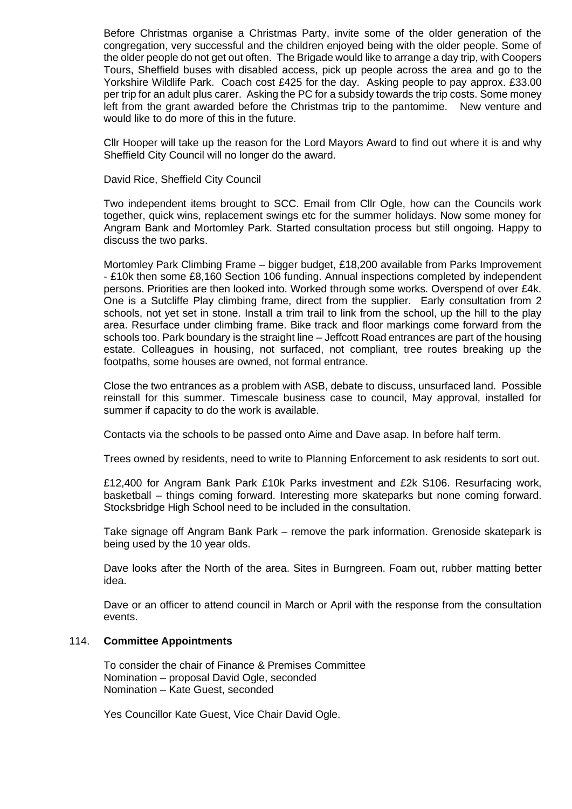Before Christmas organise a Christmas Party, invite some of the older generation of the congregation, very successful and the children enjoyed being with the older people. Some of the older people do not get out often. The Brigade would like to arrange a day trip, with Coopers Tours, Sheffield buses with disabled access, pick up people across the area and go to the Yorkshire Wildlife Park. Coach cost £425 for the day. Asking people to pay approx. £33.00 per trip for an adult plus carer. Asking the PC for a subsidy towards the trip costs. Some money left from the grant awarded before the Christmas trip to the pantomime. New venture and would like to do more of this in the future.

Cllr Hooper will take up the reason for the Lord Mayors Award to find out where it is and why Sheffield City Council will no longer do the award.

David Rice, Sheffield City Council

Two independent items brought to SCC. Email from Cllr Ogle, how can the Councils work together, quick wins, replacement swings etc for the summer holidays. Now some money for Angram Bank and Mortomley Park. Started consultation process but still ongoing. Happy to discuss the two parks.

Mortomley Park Climbing Frame – bigger budget, £18,200 available from Parks Improvement - £10k then some £8,160 Section 106 funding. Annual inspections completed by independent persons. Priorities are then looked into. Worked through some works. Overspend of over £4k. One is a Sutcliffe Play climbing frame, direct from the supplier. Early consultation from 2 schools, not yet set in stone. Install a trim trail to link from the school, up the hill to the play area. Resurface under climbing frame. Bike track and floor markings come forward from the schools too. Park boundary is the straight line – Jeffcott Road entrances are part of the housing estate. Colleagues in housing, not surfaced, not compliant, tree routes breaking up the footpaths, some houses are owned, not formal entrance.

Close the two entrances as a problem with ASB, debate to discuss, unsurfaced land. Possible reinstall for this summer. Timescale business case to council, May approval, installed for summer if capacity to do the work is available.

Contacts via the schools to be passed onto Aime and Dave asap. In before half term.

Trees owned by residents, need to write to Planning Enforcement to ask residents to sort out.

£12,400 for Angram Bank Park £10k Parks investment and £2k S106. Resurfacing work, basketball – things coming forward. Interesting more skateparks but none coming forward. Stocksbridge High School need to be included in the consultation.

Take signage off Angram Bank Park – remove the park information. Grenoside skatepark is being used by the 10 year olds.

Dave looks after the North of the area. Sites in Burngreen. Foam out, rubber matting better idea.

Dave or an officer to attend council in March or April with the response from the consultation events.

#### 114. **Committee Appointments**

To consider the chair of Finance & Premises Committee Nomination – proposal David Ogle, seconded Nomination – Kate Guest, seconded

Yes Councillor Kate Guest, Vice Chair David Ogle.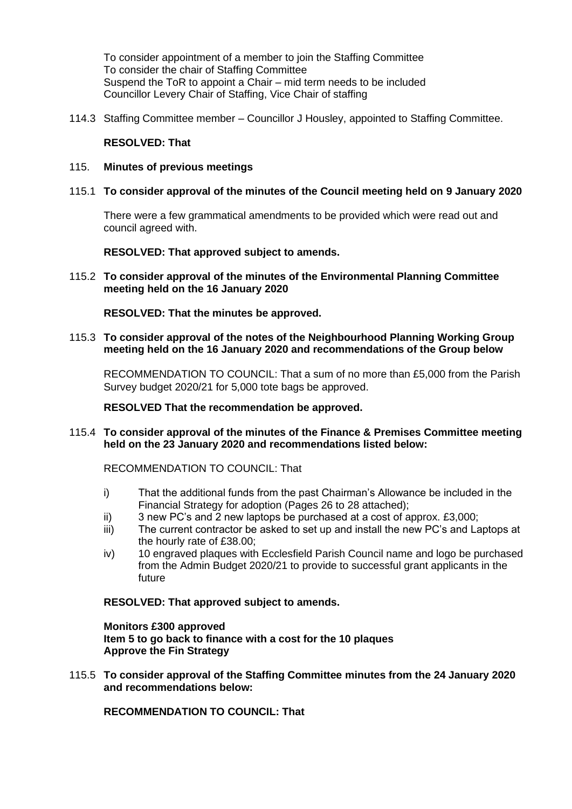To consider appointment of a member to join the Staffing Committee To consider the chair of Staffing Committee Suspend the ToR to appoint a Chair – mid term needs to be included Councillor Levery Chair of Staffing, Vice Chair of staffing

114.3 Staffing Committee member – Councillor J Housley, appointed to Staffing Committee.

### **RESOLVED: That**

- 115. **Minutes of previous meetings**
- 115.1 **To consider approval of the minutes of the Council meeting held on 9 January 2020**

There were a few grammatical amendments to be provided which were read out and council agreed with.

**RESOLVED: That approved subject to amends.**

115.2 **To consider approval of the minutes of the Environmental Planning Committee meeting held on the 16 January 2020**

**RESOLVED: That the minutes be approved.**

115.3 **To consider approval of the notes of the Neighbourhood Planning Working Group meeting held on the 16 January 2020 and recommendations of the Group below**

RECOMMENDATION TO COUNCIL: That a sum of no more than £5,000 from the Parish Survey budget 2020/21 for 5,000 tote bags be approved.

**RESOLVED That the recommendation be approved.**

115.4 **To consider approval of the minutes of the Finance & Premises Committee meeting held on the 23 January 2020 and recommendations listed below:**

RECOMMENDATION TO COUNCIL: That

- i) That the additional funds from the past Chairman's Allowance be included in the Financial Strategy for adoption (Pages 26 to 28 attached);
- ii) 3 new PC's and 2 new laptops be purchased at a cost of approx. £3,000;
- iii) The current contractor be asked to set up and install the new PC's and Laptops at the hourly rate of £38.00;
- iv) 10 engraved plaques with Ecclesfield Parish Council name and logo be purchased from the Admin Budget 2020/21 to provide to successful grant applicants in the future

# **RESOLVED: That approved subject to amends.**

**Monitors £300 approved Item 5 to go back to finance with a cost for the 10 plaques Approve the Fin Strategy**

115.5 **To consider approval of the Staffing Committee minutes from the 24 January 2020 and recommendations below:**

**RECOMMENDATION TO COUNCIL: That**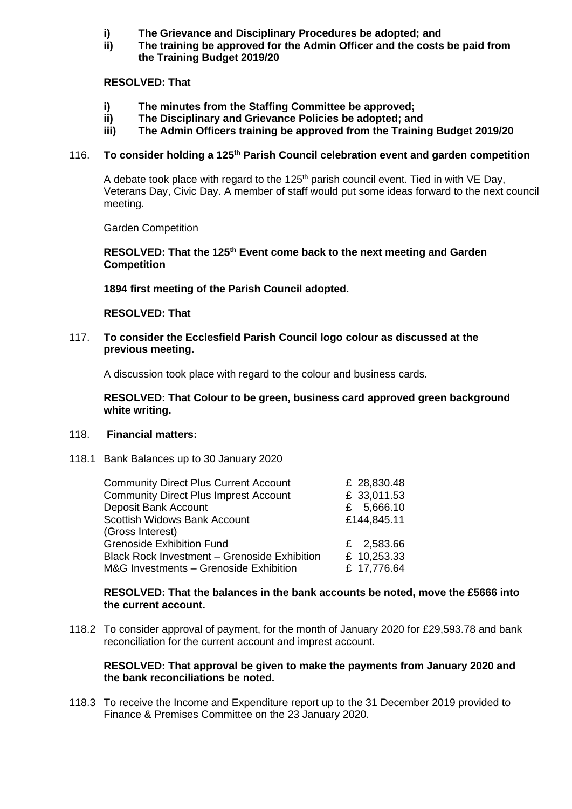- **i) The Grievance and Disciplinary Procedures be adopted; and**
- **ii) The training be approved for the Admin Officer and the costs be paid from the Training Budget 2019/20**

# **RESOLVED: That**

- **i) The minutes from the Staffing Committee be approved;**
- **ii) The Disciplinary and Grievance Policies be adopted; and**
- **iii) The Admin Officers training be approved from the Training Budget 2019/20**

# 116. **To consider holding a 125th Parish Council celebration event and garden competition**

A debate took place with regard to the  $125<sup>th</sup>$  parish council event. Tied in with VE Day, Veterans Day, Civic Day. A member of staff would put some ideas forward to the next council meeting.

Garden Competition

**RESOLVED: That the 125th Event come back to the next meeting and Garden Competition**

**1894 first meeting of the Parish Council adopted.** 

# **RESOLVED: That**

117. **To consider the Ecclesfield Parish Council logo colour as discussed at the previous meeting.**

A discussion took place with regard to the colour and business cards.

**RESOLVED: That Colour to be green, business card approved green background white writing.**

#### 118. **Financial matters:**

118.1 Bank Balances up to 30 January 2020

| £ 28,830.48 |
|-------------|
| £ 33,011.53 |
| £ 5,666.10  |
| £144,845.11 |
|             |
| £ 2,583.66  |
| £ 10,253.33 |
| £ 17,776.64 |
|             |

#### **RESOLVED: That the balances in the bank accounts be noted, move the £5666 into the current account.**

118.2 To consider approval of payment, for the month of January 2020 for £29,593.78 and bank reconciliation for the current account and imprest account.

# **RESOLVED: That approval be given to make the payments from January 2020 and the bank reconciliations be noted.**

118.3 To receive the Income and Expenditure report up to the 31 December 2019 provided to Finance & Premises Committee on the 23 January 2020.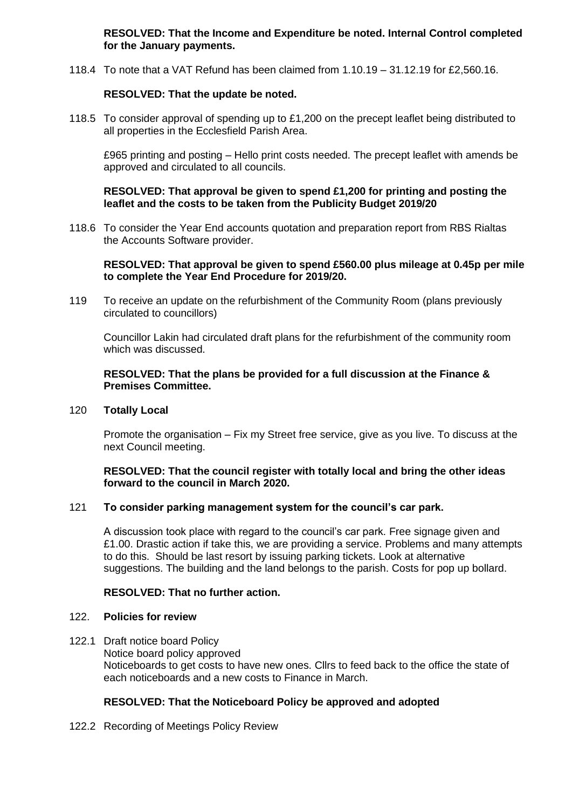**RESOLVED: That the Income and Expenditure be noted. Internal Control completed for the January payments.**

118.4 To note that a VAT Refund has been claimed from 1.10.19 – 31.12.19 for £2,560.16.

# **RESOLVED: That the update be noted.**

118.5 To consider approval of spending up to £1,200 on the precept leaflet being distributed to all properties in the Ecclesfield Parish Area.

£965 printing and posting – Hello print costs needed. The precept leaflet with amends be approved and circulated to all councils.

### **RESOLVED: That approval be given to spend £1,200 for printing and posting the leaflet and the costs to be taken from the Publicity Budget 2019/20**

118.6 To consider the Year End accounts quotation and preparation report from RBS Rialtas the Accounts Software provider.

#### **RESOLVED: That approval be given to spend £560.00 plus mileage at 0.45p per mile to complete the Year End Procedure for 2019/20.**

119 To receive an update on the refurbishment of the Community Room (plans previously circulated to councillors)

Councillor Lakin had circulated draft plans for the refurbishment of the community room which was discussed.

### **RESOLVED: That the plans be provided for a full discussion at the Finance & Premises Committee.**

120 **Totally Local**

Promote the organisation – Fix my Street free service, give as you live. To discuss at the next Council meeting.

#### **RESOLVED: That the council register with totally local and bring the other ideas forward to the council in March 2020.**

# 121 **To consider parking management system for the council's car park.**

A discussion took place with regard to the council's car park. Free signage given and £1.00. Drastic action if take this, we are providing a service. Problems and many attempts to do this. Should be last resort by issuing parking tickets. Look at alternative suggestions. The building and the land belongs to the parish. Costs for pop up bollard.

# **RESOLVED: That no further action.**

#### 122. **Policies for review**

122.1 Draft notice board Policy Notice board policy approved Noticeboards to get costs to have new ones. Cllrs to feed back to the office the state of each noticeboards and a new costs to Finance in March.

# **RESOLVED: That the Noticeboard Policy be approved and adopted**

122.2 Recording of Meetings Policy Review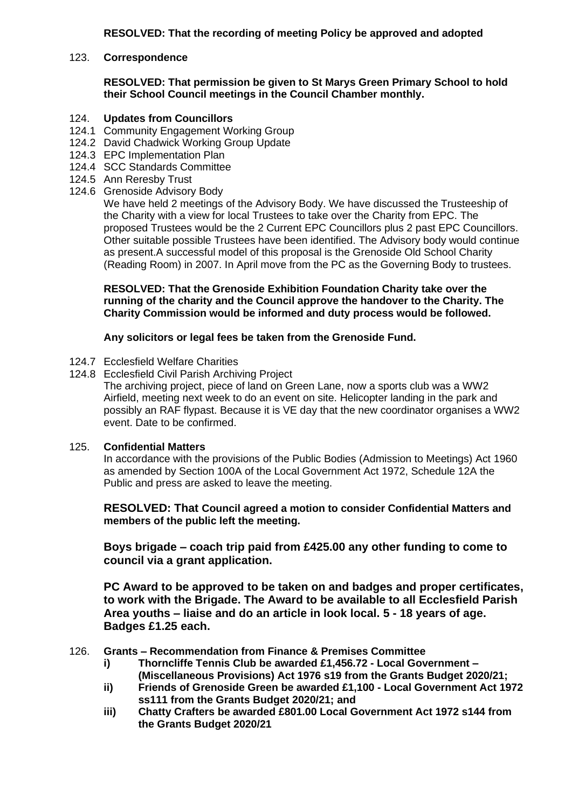**RESOLVED: That the recording of meeting Policy be approved and adopted**

# 123. **Correspondence**

**RESOLVED: That permission be given to St Marys Green Primary School to hold their School Council meetings in the Council Chamber monthly.**

#### 124. **Updates from Councillors**

- 124.1 Community Engagement Working Group
- 124.2 David Chadwick Working Group Update
- 124.3 EPC Implementation Plan
- 124.4 SCC Standards Committee
- 124.5 Ann Reresby Trust
- 124.6 Grenoside Advisory Body

We have held 2 meetings of the Advisory Body. We have discussed the Trusteeship of the Charity with a view for local Trustees to take over the Charity from EPC. The proposed Trustees would be the 2 Current EPC Councillors plus 2 past EPC Councillors. Other suitable possible Trustees have been identified. The Advisory body would continue as present.A successful model of this proposal is the Grenoside Old School Charity (Reading Room) in 2007. In April move from the PC as the Governing Body to trustees.

**RESOLVED: That the Grenoside Exhibition Foundation Charity take over the running of the charity and the Council approve the handover to the Charity. The Charity Commission would be informed and duty process would be followed.**

#### **Any solicitors or legal fees be taken from the Grenoside Fund.**

- 124.7 Ecclesfield Welfare Charities
- 124.8 Ecclesfield Civil Parish Archiving Project

The archiving project, piece of land on Green Lane, now a sports club was a WW2 Airfield, meeting next week to do an event on site. Helicopter landing in the park and possibly an RAF flypast. Because it is VE day that the new coordinator organises a WW2 event. Date to be confirmed.

#### 125. **Confidential Matters**

In accordance with the provisions of the Public Bodies (Admission to Meetings) Act 1960 as amended by Section 100A of the Local Government Act 1972, Schedule 12A the Public and press are asked to leave the meeting.

**RESOLVED: That Council agreed a motion to consider Confidential Matters and members of the public left the meeting.**

**Boys brigade – coach trip paid from £425.00 any other funding to come to council via a grant application.**

**PC Award to be approved to be taken on and badges and proper certificates, to work with the Brigade. The Award to be available to all Ecclesfield Parish Area youths – liaise and do an article in look local. 5 - 18 years of age. Badges £1.25 each.**

- 126. **Grants – Recommendation from Finance & Premises Committee**
	- **i) Thorncliffe Tennis Club be awarded £1,456.72 - Local Government – (Miscellaneous Provisions) Act 1976 s19 from the Grants Budget 2020/21;**
	- **ii) Friends of Grenoside Green be awarded £1,100 - Local Government Act 1972 ss111 from the Grants Budget 2020/21; and**
	- **iii) Chatty Crafters be awarded £801.00 Local Government Act 1972 s144 from the Grants Budget 2020/21**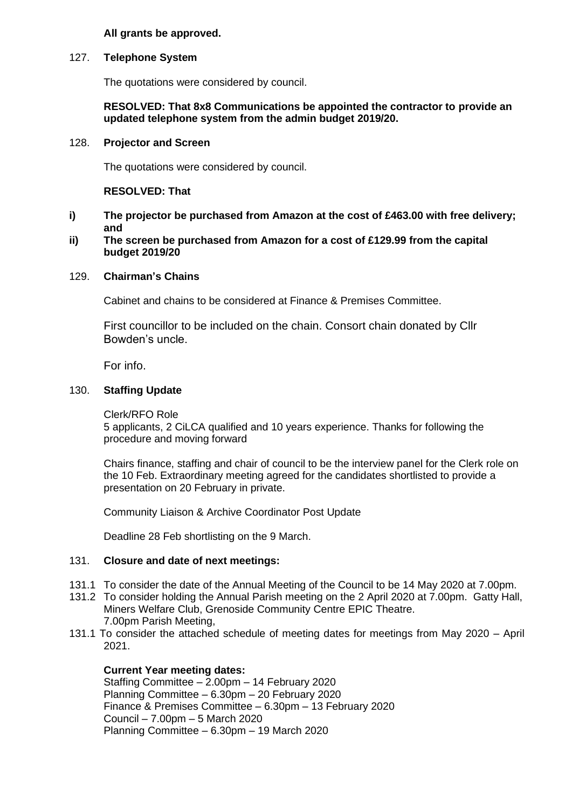### **All grants be approved.**

#### 127. **Telephone System**

The quotations were considered by council.

### **RESOLVED: That 8x8 Communications be appointed the contractor to provide an updated telephone system from the admin budget 2019/20.**

#### 128. **Projector and Screen**

The quotations were considered by council.

### **RESOLVED: That**

### **i) The projector be purchased from Amazon at the cost of £463.00 with free delivery; and**

#### **ii) The screen be purchased from Amazon for a cost of £129.99 from the capital budget 2019/20**

#### 129. **Chairman's Chains**

Cabinet and chains to be considered at Finance & Premises Committee.

First councillor to be included on the chain. Consort chain donated by Cllr Bowden's uncle.

For info.

#### 130. **Staffing Update**

Clerk/RFO Role

5 applicants, 2 CiLCA qualified and 10 years experience. Thanks for following the procedure and moving forward

Chairs finance, staffing and chair of council to be the interview panel for the Clerk role on the 10 Feb. Extraordinary meeting agreed for the candidates shortlisted to provide a presentation on 20 February in private.

Community Liaison & Archive Coordinator Post Update

Deadline 28 Feb shortlisting on the 9 March.

#### 131. **Closure and date of next meetings:**

- 131.1 To consider the date of the Annual Meeting of the Council to be 14 May 2020 at 7.00pm.
- 131.2 To consider holding the Annual Parish meeting on the 2 April 2020 at 7.00pm. Gatty Hall, Miners Welfare Club, Grenoside Community Centre EPIC Theatre. 7.00pm Parish Meeting,
- 131.1 To consider the attached schedule of meeting dates for meetings from May 2020 April 2021.

#### **Current Year meeting dates:**

Staffing Committee – 2.00pm – 14 February 2020 Planning Committee – 6.30pm – 20 February 2020 Finance & Premises Committee – 6.30pm – 13 February 2020 Council – 7.00pm – 5 March 2020 Planning Committee – 6.30pm – 19 March 2020